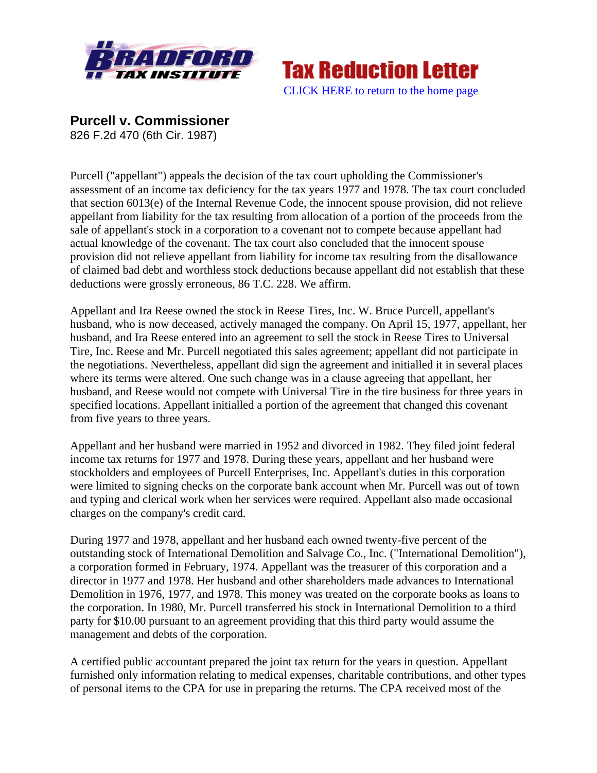



**Purcell v. Commissioner** 

826 F.2d 470 (6th Cir. 1987)

Purcell ("appellant") appeals the decision of the tax court upholding the Commissioner's assessment of an income tax deficiency for the tax years 1977 and 1978. The tax court concluded that section 6013(e) of the Internal Revenue Code, the innocent spouse provision, did not relieve appellant from liability for the tax resulting from allocation of a portion of the proceeds from the sale of appellant's stock in a corporation to a covenant not to compete because appellant had actual knowledge of the covenant. The tax court also concluded that the innocent spouse provision did not relieve appellant from liability for income tax resulting from the disallowance of claimed bad debt and worthless stock deductions because appellant did not establish that these deductions were grossly erroneous, 86 T.C. 228. We affirm.

Appellant and Ira Reese owned the stock in Reese Tires, Inc. W. Bruce Purcell, appellant's husband, who is now deceased, actively managed the company. On April 15, 1977, appellant, her husband, and Ira Reese entered into an agreement to sell the stock in Reese Tires to Universal Tire, Inc. Reese and Mr. Purcell negotiated this sales agreement; appellant did not participate in the negotiations. Nevertheless, appellant did sign the agreement and initialled it in several places where its terms were altered. One such change was in a clause agreeing that appellant, her husband, and Reese would not compete with Universal Tire in the tire business for three years in specified locations. Appellant initialled a portion of the agreement that changed this covenant from five years to three years.

Appellant and her husband were married in 1952 and divorced in 1982. They filed joint federal income tax returns for 1977 and 1978. During these years, appellant and her husband were stockholders and employees of Purcell Enterprises, Inc. Appellant's duties in this corporation were limited to signing checks on the corporate bank account when Mr. Purcell was out of town and typing and clerical work when her services were required. Appellant also made occasional charges on the company's credit card.

During 1977 and 1978, appellant and her husband each owned twenty-five percent of the outstanding stock of International Demolition and Salvage Co., Inc. ("International Demolition"), a corporation formed in February, 1974. Appellant was the treasurer of this corporation and a director in 1977 and 1978. Her husband and other shareholders made advances to International Demolition in 1976, 1977, and 1978. This money was treated on the corporate books as loans to the corporation. In 1980, Mr. Purcell transferred his stock in International Demolition to a third party for \$10.00 pursuant to an agreement providing that this third party would assume the management and debts of the corporation.

A certified public accountant prepared the joint tax return for the years in question. Appellant furnished only information relating to medical expenses, charitable contributions, and other types of personal items to the CPA for use in preparing the returns. The CPA received most of the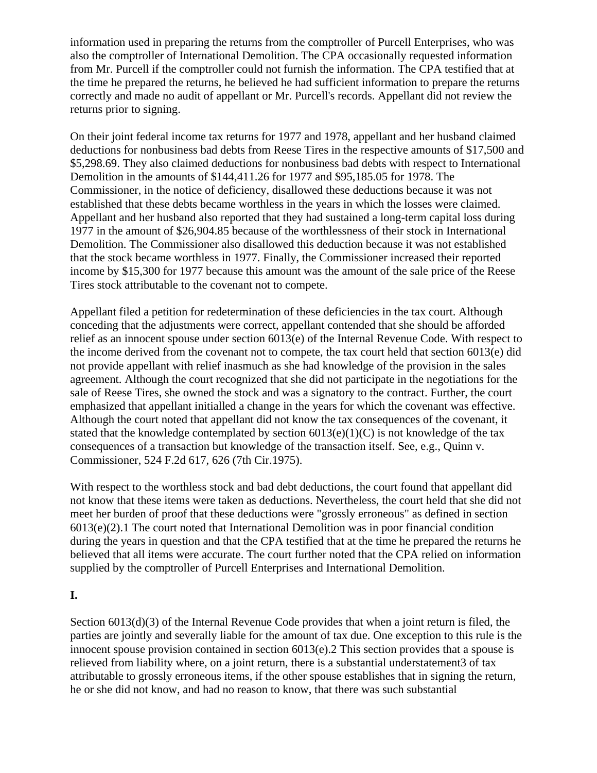information used in preparing the returns from the comptroller of Purcell Enterprises, who was also the comptroller of International Demolition. The CPA occasionally requested information from Mr. Purcell if the comptroller could not furnish the information. The CPA testified that at the time he prepared the returns, he believed he had sufficient information to prepare the returns correctly and made no audit of appellant or Mr. Purcell's records. Appellant did not review the returns prior to signing.

On their joint federal income tax returns for 1977 and 1978, appellant and her husband claimed deductions for nonbusiness bad debts from Reese Tires in the respective amounts of \$17,500 and \$5,298.69. They also claimed deductions for nonbusiness bad debts with respect to International Demolition in the amounts of \$144,411.26 for 1977 and \$95,185.05 for 1978. The Commissioner, in the notice of deficiency, disallowed these deductions because it was not established that these debts became worthless in the years in which the losses were claimed. Appellant and her husband also reported that they had sustained a long-term capital loss during 1977 in the amount of \$26,904.85 because of the worthlessness of their stock in International Demolition. The Commissioner also disallowed this deduction because it was not established that the stock became worthless in 1977. Finally, the Commissioner increased their reported income by \$15,300 for 1977 because this amount was the amount of the sale price of the Reese Tires stock attributable to the covenant not to compete.

Appellant filed a petition for redetermination of these deficiencies in the tax court. Although conceding that the adjustments were correct, appellant contended that she should be afforded relief as an innocent spouse under section 6013(e) of the Internal Revenue Code. With respect to the income derived from the covenant not to compete, the tax court held that section 6013(e) did not provide appellant with relief inasmuch as she had knowledge of the provision in the sales agreement. Although the court recognized that she did not participate in the negotiations for the sale of Reese Tires, she owned the stock and was a signatory to the contract. Further, the court emphasized that appellant initialled a change in the years for which the covenant was effective. Although the court noted that appellant did not know the tax consequences of the covenant, it stated that the knowledge contemplated by section  $6013(e)(1)(C)$  is not knowledge of the tax consequences of a transaction but knowledge of the transaction itself. See, e.g., Quinn v. Commissioner, 524 F.2d 617, 626 (7th Cir.1975).

With respect to the worthless stock and bad debt deductions, the court found that appellant did not know that these items were taken as deductions. Nevertheless, the court held that she did not meet her burden of proof that these deductions were "grossly erroneous" as defined in section 6013(e)(2).1 The court noted that International Demolition was in poor financial condition during the years in question and that the CPA testified that at the time he prepared the returns he believed that all items were accurate. The court further noted that the CPA relied on information supplied by the comptroller of Purcell Enterprises and International Demolition.

# **I.**

Section 6013(d)(3) of the Internal Revenue Code provides that when a joint return is filed, the parties are jointly and severally liable for the amount of tax due. One exception to this rule is the innocent spouse provision contained in section 6013(e).2 This section provides that a spouse is relieved from liability where, on a joint return, there is a substantial understatement3 of tax attributable to grossly erroneous items, if the other spouse establishes that in signing the return, he or she did not know, and had no reason to know, that there was such substantial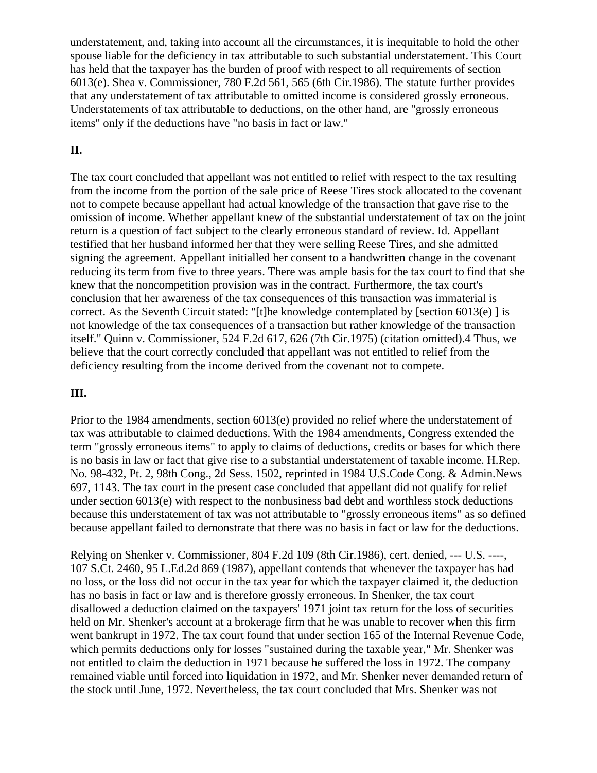understatement, and, taking into account all the circumstances, it is inequitable to hold the other spouse liable for the deficiency in tax attributable to such substantial understatement. This Court has held that the taxpayer has the burden of proof with respect to all requirements of section 6013(e). Shea v. Commissioner, 780 F.2d 561, 565 (6th Cir.1986). The statute further provides that any understatement of tax attributable to omitted income is considered grossly erroneous. Understatements of tax attributable to deductions, on the other hand, are "grossly erroneous items" only if the deductions have "no basis in fact or law."

## **II.**

The tax court concluded that appellant was not entitled to relief with respect to the tax resulting from the income from the portion of the sale price of Reese Tires stock allocated to the covenant not to compete because appellant had actual knowledge of the transaction that gave rise to the omission of income. Whether appellant knew of the substantial understatement of tax on the joint return is a question of fact subject to the clearly erroneous standard of review. Id. Appellant testified that her husband informed her that they were selling Reese Tires, and she admitted signing the agreement. Appellant initialled her consent to a handwritten change in the covenant reducing its term from five to three years. There was ample basis for the tax court to find that she knew that the noncompetition provision was in the contract. Furthermore, the tax court's conclusion that her awareness of the tax consequences of this transaction was immaterial is correct. As the Seventh Circuit stated: "[t]he knowledge contemplated by [section 6013(e) ] is not knowledge of the tax consequences of a transaction but rather knowledge of the transaction itself." Quinn v. Commissioner, 524 F.2d 617, 626 (7th Cir.1975) (citation omitted).4 Thus, we believe that the court correctly concluded that appellant was not entitled to relief from the deficiency resulting from the income derived from the covenant not to compete.

## **III.**

Prior to the 1984 amendments, section 6013(e) provided no relief where the understatement of tax was attributable to claimed deductions. With the 1984 amendments, Congress extended the term "grossly erroneous items" to apply to claims of deductions, credits or bases for which there is no basis in law or fact that give rise to a substantial understatement of taxable income. H.Rep. No. 98-432, Pt. 2, 98th Cong., 2d Sess. 1502, reprinted in 1984 U.S.Code Cong. & Admin.News 697, 1143. The tax court in the present case concluded that appellant did not qualify for relief under section 6013(e) with respect to the nonbusiness bad debt and worthless stock deductions because this understatement of tax was not attributable to "grossly erroneous items" as so defined because appellant failed to demonstrate that there was no basis in fact or law for the deductions.

Relying on Shenker v. Commissioner, 804 F.2d 109 (8th Cir.1986), cert. denied, --- U.S. ----, 107 S.Ct. 2460, 95 L.Ed.2d 869 (1987), appellant contends that whenever the taxpayer has had no loss, or the loss did not occur in the tax year for which the taxpayer claimed it, the deduction has no basis in fact or law and is therefore grossly erroneous. In Shenker, the tax court disallowed a deduction claimed on the taxpayers' 1971 joint tax return for the loss of securities held on Mr. Shenker's account at a brokerage firm that he was unable to recover when this firm went bankrupt in 1972. The tax court found that under section 165 of the Internal Revenue Code, which permits deductions only for losses "sustained during the taxable year," Mr. Shenker was not entitled to claim the deduction in 1971 because he suffered the loss in 1972. The company remained viable until forced into liquidation in 1972, and Mr. Shenker never demanded return of the stock until June, 1972. Nevertheless, the tax court concluded that Mrs. Shenker was not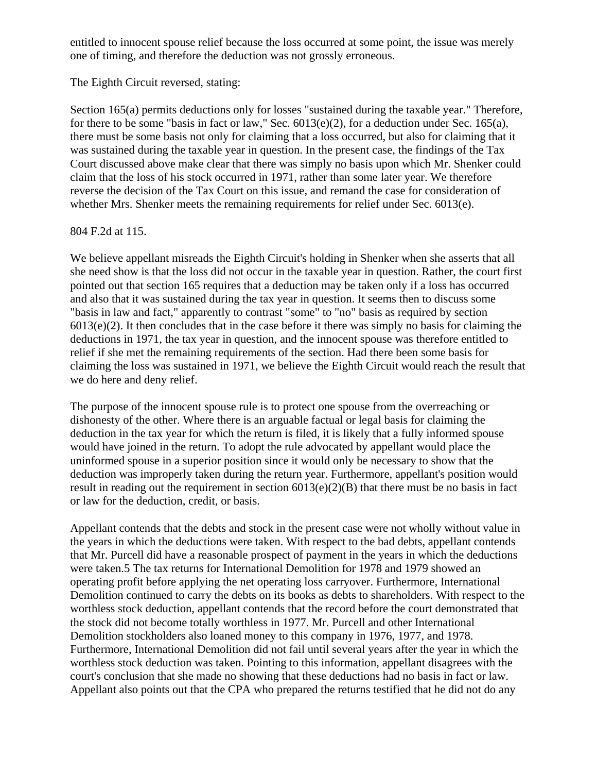entitled to innocent spouse relief because the loss occurred at some point, the issue was merely one of timing, and therefore the deduction was not grossly erroneous.

The Eighth Circuit reversed, stating:

Section 165(a) permits deductions only for losses "sustained during the taxable year." Therefore, for there to be some "basis in fact or law," Sec. 6013(e)(2), for a deduction under Sec. 165(a), there must be some basis not only for claiming that a loss occurred, but also for claiming that it was sustained during the taxable year in question. In the present case, the findings of the Tax Court discussed above make clear that there was simply no basis upon which Mr. Shenker could claim that the loss of his stock occurred in 1971, rather than some later year. We therefore reverse the decision of the Tax Court on this issue, and remand the case for consideration of whether Mrs. Shenker meets the remaining requirements for relief under Sec. 6013(e).

## 804 F.2d at 115.

We believe appellant misreads the Eighth Circuit's holding in Shenker when she asserts that all she need show is that the loss did not occur in the taxable year in question. Rather, the court first pointed out that section 165 requires that a deduction may be taken only if a loss has occurred and also that it was sustained during the tax year in question. It seems then to discuss some "basis in law and fact," apparently to contrast "some" to "no" basis as required by section  $6013(e)(2)$ . It then concludes that in the case before it there was simply no basis for claiming the deductions in 1971, the tax year in question, and the innocent spouse was therefore entitled to relief if she met the remaining requirements of the section. Had there been some basis for claiming the loss was sustained in 1971, we believe the Eighth Circuit would reach the result that we do here and deny relief.

The purpose of the innocent spouse rule is to protect one spouse from the overreaching or dishonesty of the other. Where there is an arguable factual or legal basis for claiming the deduction in the tax year for which the return is filed, it is likely that a fully informed spouse would have joined in the return. To adopt the rule advocated by appellant would place the uninformed spouse in a superior position since it would only be necessary to show that the deduction was improperly taken during the return year. Furthermore, appellant's position would result in reading out the requirement in section 6013(e)(2)(B) that there must be no basis in fact or law for the deduction, credit, or basis.

Appellant contends that the debts and stock in the present case were not wholly without value in the years in which the deductions were taken. With respect to the bad debts, appellant contends that Mr. Purcell did have a reasonable prospect of payment in the years in which the deductions were taken.5 The tax returns for International Demolition for 1978 and 1979 showed an operating profit before applying the net operating loss carryover. Furthermore, International Demolition continued to carry the debts on its books as debts to shareholders. With respect to the worthless stock deduction, appellant contends that the record before the court demonstrated that the stock did not become totally worthless in 1977. Mr. Purcell and other International Demolition stockholders also loaned money to this company in 1976, 1977, and 1978. Furthermore, International Demolition did not fail until several years after the year in which the worthless stock deduction was taken. Pointing to this information, appellant disagrees with the court's conclusion that she made no showing that these deductions had no basis in fact or law. Appellant also points out that the CPA who prepared the returns testified that he did not do any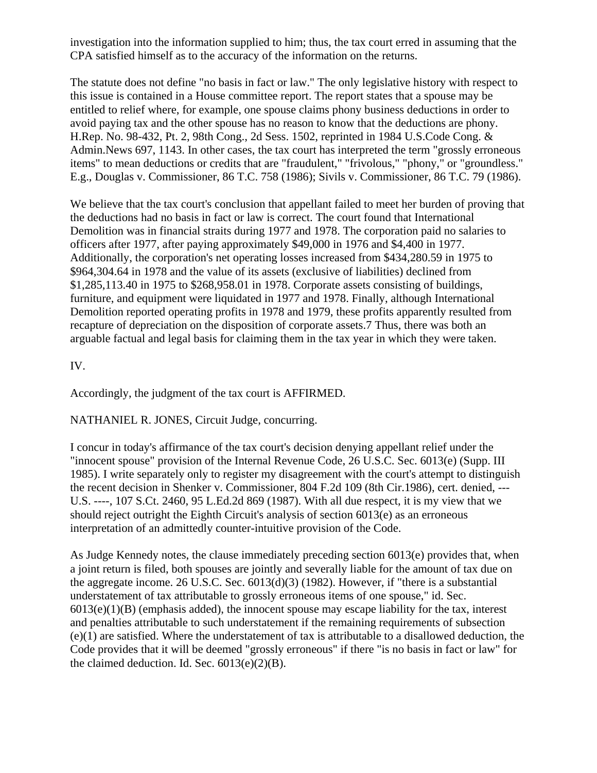investigation into the information supplied to him; thus, the tax court erred in assuming that the CPA satisfied himself as to the accuracy of the information on the returns.

The statute does not define "no basis in fact or law." The only legislative history with respect to this issue is contained in a House committee report. The report states that a spouse may be entitled to relief where, for example, one spouse claims phony business deductions in order to avoid paying tax and the other spouse has no reason to know that the deductions are phony. H.Rep. No. 98-432, Pt. 2, 98th Cong., 2d Sess. 1502, reprinted in 1984 U.S.Code Cong. & Admin.News 697, 1143. In other cases, the tax court has interpreted the term "grossly erroneous items" to mean deductions or credits that are "fraudulent," "frivolous," "phony," or "groundless." E.g., Douglas v. Commissioner, 86 T.C. 758 (1986); Sivils v. Commissioner, 86 T.C. 79 (1986).

We believe that the tax court's conclusion that appellant failed to meet her burden of proving that the deductions had no basis in fact or law is correct. The court found that International Demolition was in financial straits during 1977 and 1978. The corporation paid no salaries to officers after 1977, after paying approximately \$49,000 in 1976 and \$4,400 in 1977. Additionally, the corporation's net operating losses increased from \$434,280.59 in 1975 to \$964,304.64 in 1978 and the value of its assets (exclusive of liabilities) declined from \$1,285,113.40 in 1975 to \$268,958.01 in 1978. Corporate assets consisting of buildings, furniture, and equipment were liquidated in 1977 and 1978. Finally, although International Demolition reported operating profits in 1978 and 1979, these profits apparently resulted from recapture of depreciation on the disposition of corporate assets.7 Thus, there was both an arguable factual and legal basis for claiming them in the tax year in which they were taken.

IV.

Accordingly, the judgment of the tax court is AFFIRMED.

NATHANIEL R. JONES, Circuit Judge, concurring.

I concur in today's affirmance of the tax court's decision denying appellant relief under the "innocent spouse" provision of the Internal Revenue Code, 26 U.S.C. Sec. 6013(e) (Supp. III 1985). I write separately only to register my disagreement with the court's attempt to distinguish the recent decision in Shenker v. Commissioner, 804 F.2d 109 (8th Cir.1986), cert. denied, --- U.S. ----, 107 S.Ct. 2460, 95 L.Ed.2d 869 (1987). With all due respect, it is my view that we should reject outright the Eighth Circuit's analysis of section 6013(e) as an erroneous interpretation of an admittedly counter-intuitive provision of the Code.

As Judge Kennedy notes, the clause immediately preceding section 6013(e) provides that, when a joint return is filed, both spouses are jointly and severally liable for the amount of tax due on the aggregate income. 26 U.S.C. Sec. 6013(d)(3) (1982). However, if "there is a substantial understatement of tax attributable to grossly erroneous items of one spouse," id. Sec.  $6013(e)(1)(B)$  (emphasis added), the innocent spouse may escape liability for the tax, interest and penalties attributable to such understatement if the remaining requirements of subsection (e)(1) are satisfied. Where the understatement of tax is attributable to a disallowed deduction, the Code provides that it will be deemed "grossly erroneous" if there "is no basis in fact or law" for the claimed deduction. Id. Sec.  $6013(e)(2)(B)$ .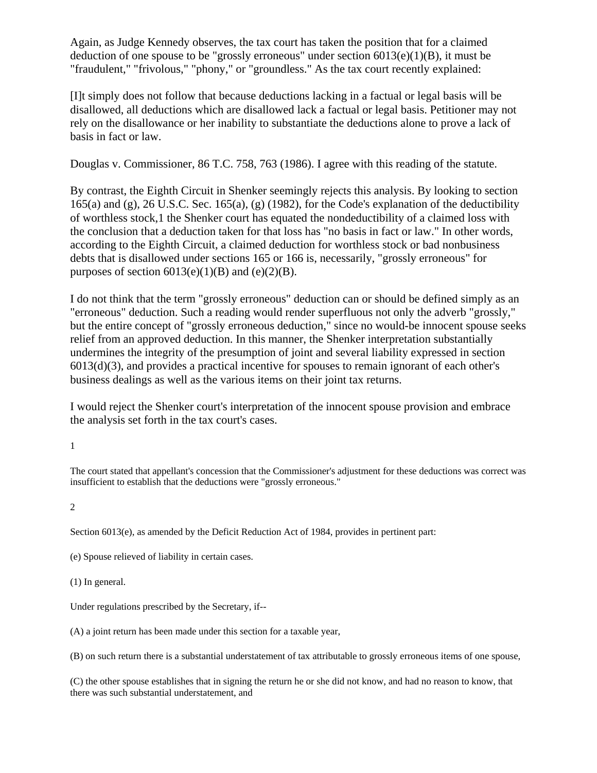Again, as Judge Kennedy observes, the tax court has taken the position that for a claimed deduction of one spouse to be "grossly erroneous" under section  $6013(e)(1)(B)$ , it must be "fraudulent," "frivolous," "phony," or "groundless." As the tax court recently explained:

[I]t simply does not follow that because deductions lacking in a factual or legal basis will be disallowed, all deductions which are disallowed lack a factual or legal basis. Petitioner may not rely on the disallowance or her inability to substantiate the deductions alone to prove a lack of basis in fact or law.

Douglas v. Commissioner, 86 T.C. 758, 763 (1986). I agree with this reading of the statute.

By contrast, the Eighth Circuit in Shenker seemingly rejects this analysis. By looking to section 165(a) and (g), 26 U.S.C. Sec. 165(a), (g) (1982), for the Code's explanation of the deductibility of worthless stock,1 the Shenker court has equated the nondeductibility of a claimed loss with the conclusion that a deduction taken for that loss has "no basis in fact or law." In other words, according to the Eighth Circuit, a claimed deduction for worthless stock or bad nonbusiness debts that is disallowed under sections 165 or 166 is, necessarily, "grossly erroneous" for purposes of section  $6013(e)(1)(B)$  and  $(e)(2)(B)$ .

I do not think that the term "grossly erroneous" deduction can or should be defined simply as an "erroneous" deduction. Such a reading would render superfluous not only the adverb "grossly," but the entire concept of "grossly erroneous deduction," since no would-be innocent spouse seeks relief from an approved deduction. In this manner, the Shenker interpretation substantially undermines the integrity of the presumption of joint and several liability expressed in section 6013(d)(3), and provides a practical incentive for spouses to remain ignorant of each other's business dealings as well as the various items on their joint tax returns.

I would reject the Shenker court's interpretation of the innocent spouse provision and embrace the analysis set forth in the tax court's cases.

1

The court stated that appellant's concession that the Commissioner's adjustment for these deductions was correct was insufficient to establish that the deductions were "grossly erroneous."

2

Section 6013(e), as amended by the Deficit Reduction Act of 1984, provides in pertinent part:

(e) Spouse relieved of liability in certain cases.

(1) In general.

Under regulations prescribed by the Secretary, if--

(A) a joint return has been made under this section for a taxable year,

(B) on such return there is a substantial understatement of tax attributable to grossly erroneous items of one spouse,

(C) the other spouse establishes that in signing the return he or she did not know, and had no reason to know, that there was such substantial understatement, and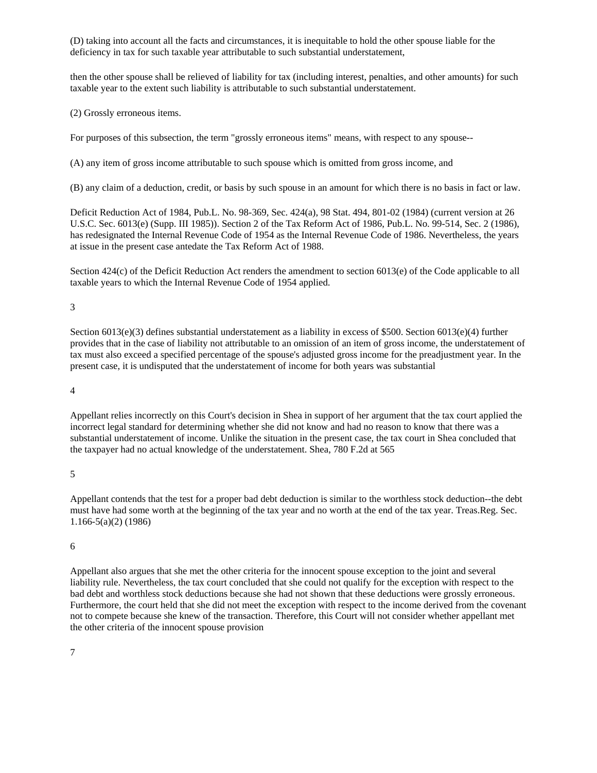(D) taking into account all the facts and circumstances, it is inequitable to hold the other spouse liable for the deficiency in tax for such taxable year attributable to such substantial understatement,

then the other spouse shall be relieved of liability for tax (including interest, penalties, and other amounts) for such taxable year to the extent such liability is attributable to such substantial understatement.

(2) Grossly erroneous items.

For purposes of this subsection, the term "grossly erroneous items" means, with respect to any spouse--

(A) any item of gross income attributable to such spouse which is omitted from gross income, and

(B) any claim of a deduction, credit, or basis by such spouse in an amount for which there is no basis in fact or law.

Deficit Reduction Act of 1984, Pub.L. No. 98-369, Sec. 424(a), 98 Stat. 494, 801-02 (1984) (current version at 26 U.S.C. Sec. 6013(e) (Supp. III 1985)). Section 2 of the Tax Reform Act of 1986, Pub.L. No. 99-514, Sec. 2 (1986), has redesignated the Internal Revenue Code of 1954 as the Internal Revenue Code of 1986. Nevertheless, the years at issue in the present case antedate the Tax Reform Act of 1988.

Section 424(c) of the Deficit Reduction Act renders the amendment to section 6013(e) of the Code applicable to all taxable years to which the Internal Revenue Code of 1954 applied.

#### 3

Section 6013(e)(3) defines substantial understatement as a liability in excess of \$500. Section 6013(e)(4) further provides that in the case of liability not attributable to an omission of an item of gross income, the understatement of tax must also exceed a specified percentage of the spouse's adjusted gross income for the preadjustment year. In the present case, it is undisputed that the understatement of income for both years was substantial

#### 4

Appellant relies incorrectly on this Court's decision in Shea in support of her argument that the tax court applied the incorrect legal standard for determining whether she did not know and had no reason to know that there was a substantial understatement of income. Unlike the situation in the present case, the tax court in Shea concluded that the taxpayer had no actual knowledge of the understatement. Shea, 780 F.2d at 565

5

Appellant contends that the test for a proper bad debt deduction is similar to the worthless stock deduction--the debt must have had some worth at the beginning of the tax year and no worth at the end of the tax year. Treas.Reg. Sec. 1.166-5(a)(2) (1986)

#### 6

Appellant also argues that she met the other criteria for the innocent spouse exception to the joint and several liability rule. Nevertheless, the tax court concluded that she could not qualify for the exception with respect to the bad debt and worthless stock deductions because she had not shown that these deductions were grossly erroneous. Furthermore, the court held that she did not meet the exception with respect to the income derived from the covenant not to compete because she knew of the transaction. Therefore, this Court will not consider whether appellant met the other criteria of the innocent spouse provision